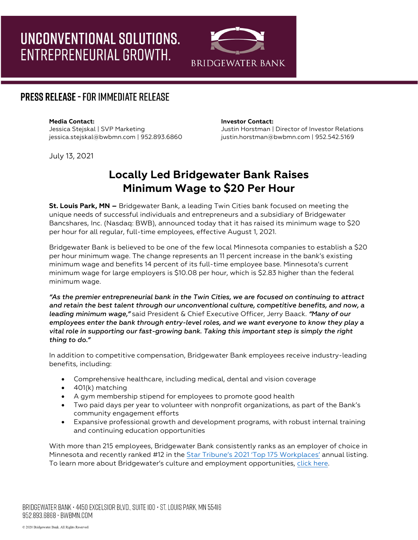# UNCONVENTIONAL SOLUTIONS. ENTREPRENEURIAL GROWTH.



### **PRESS RELEASE - FOR IMMEDIATE RELEASE**

July 13, 2021

#### **Media Contact: Investor Contact:**

Jessica Stejskal | SVP Marketing Justin Horstman | Director of Investor Relations jessica.stejskal@bwbmn.com | 952.893.6860 justin.horstman@bwbmn.com | 952.542.5169

## **Locally Led Bridgewater Bank Raises Minimum Wage to \$20 Per Hour**

**St. Louis Park, MN –** Bridgewater Bank, a leading Twin Cities bank focused on meeting the unique needs of successful individuals and entrepreneurs and a subsidiary of Bridgewater Bancshares, Inc. (Nasdaq: BWB), announced today that it has raised its minimum wage to \$20 per hour for all regular, full-time employees, effective August 1, 2021.

Bridgewater Bank is believed to be one of the few local Minnesota companies to establish a \$20 per hour minimum wage. The change represents an 11 percent increase in the bank's existing minimum wage and benefits 14 percent of its full-time employee base. Minnesota's current minimum wage for large employers is \$10.08 per hour, which is \$2.83 higher than the federal minimum wage.

*"As the premier entrepreneurial bank in the Twin Cities, we are focused on continuing to attract and retain the best talent through our unconventional culture, competitive benefits, and now, a leading minimum wage,"* said President & Chief Executive Officer, Jerry Baack. *"Many of our employees enter the bank through entry-level roles, and we want everyone to know they play a vital role in supporting our fast-growing bank. Taking this important step is simply the right thing to do."* 

In addition to competitive compensation, Bridgewater Bank employees receive industry-leading benefits, including:

- Comprehensive healthcare, including medical, dental and vision coverage
- 401(k) matching
- A gym membership stipend for employees to promote good health
- Two paid days per year to volunteer with nonprofit organizations, as part of the Bank's community engagement efforts
- Expansive professional growth and development programs, with robust internal training and continuing education opportunities

With more than 215 employees, Bridgewater Bank consistently ranks as an employer of choice in Minnesota and recently ranked #12 in the [Star Tribune's 2021 'Top 175 Workplaces'](https://www.startribune.com/ranking-minnesotas-175-top-workplaces/600068589/?cache=trash) annual listing. To learn more about Bridgewater's culture and employment opportunities, [click here.](https://bridgewaterbankmn.com/about-bridgewater/careers)